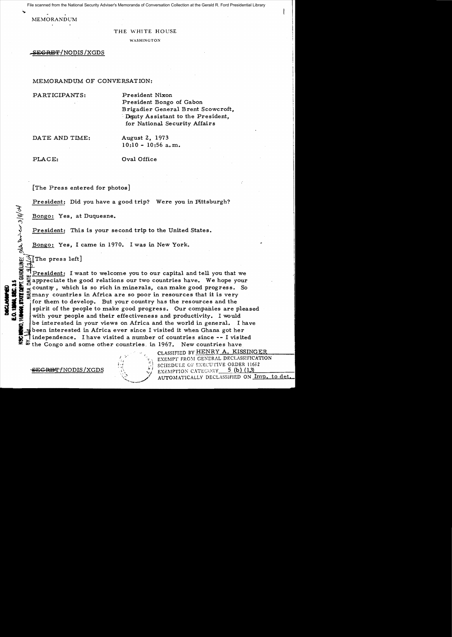File scanned from the National Security Adviser's Memoranda of Conversation Collection at the Gerald R. Ford Presidential Library

MEMORANDUM

## THE WHITE HOUSE

WASHINGTON

<del>ECRET/</del>NODIS/XGDS

## MEMORANDUM OF CONVERSATION:

PARTICIPANTS:

President Nixon President Bongo of Gabon Brigadier General Brent Scowcroft, Deputy Assistant to the President, for National Security Affairs

DATE AND TIME:

August 2, 1973  $10:10 - 10:56$  a.m.

PLACE:

 $\mathcal{L}$ 

«)

 $\bar{z}$ ,

C.MEMO,

## Oval Office

[The Press entered for photos]

President: Did you have a good trip? Were you in Pittsburgh?

Bongo: Yes, at Duquesne.

President: This is your second trip to the United States.<br>Bongo: Yes, I came in 1970. I was in New York.

 $~^3$ [The press left]<br>}<br>|President: I want to welcome you to our capital and tell you that we appreciate the good relations our two countries have. We hope your country, which is so rich in minerals, can make good progress. So many countries in Africa are so poor in resources that it is very for them to develop. But your country has the resources and the spirit of the people to make good progress. Our companies are pleased with your people and their effectiveness and productivity. I would be interested in your views on Africa and the world in general. I have . been interested in Africa ever since I visited it when Ghana got her independence. I have visited a number of countries since -- I visited the Congo and some other countries. in 1967. New countries have

<del>ECRBT/</del>NODIS/XGDS



CLASSIFIED BY HENRY A. KISSINGER EXEMPT FROM GENERAL DECLASSIFICATION SCHEDULE OF r::XECUTIVE ORDER l16;2 EXEl\lPrION CATEC0 11. Y\_....::5~(b~).l..(l!:t2:::J.)\_\_\_\_\_\_ AUTOMATICALLY DECLASSIFIED ON Imp. to det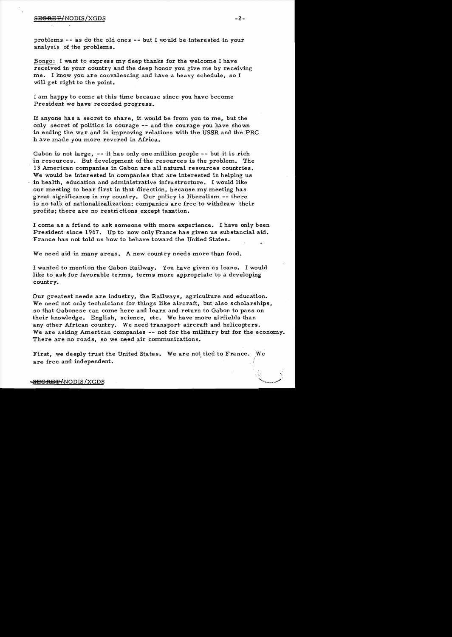problems  $--$  as do the old ones  $--$  but I would be interested in your analysis of the problems.

Bongo: I want to express my deep thanks for the welcome I have received in your country and the deep honor you give me by receiving me. I know you are convalescing and have a heavy schedule, so <sup>I</sup> will get right to the point.

I am happy to come at this time because since you have become President we have recorded progress.

If anyone has a secret to share, it would be from you to me, but the only secret of politics is courage -- and the courage you have shown in ending the war and in improving relations with the USSR and the PRC h ave made you more revered in Africa.

Gabon is not large, -- it has only one million people -- but it is rich in resources. But development of the resources is the problem. The 13 American companies in Gabon are all natural resources countries. We would be interested in companies that are interested in helping us in health, education and administrative infrastructure. I would like our meeting to bear first in that direction, because my meeting has great significance in my country. Our policy is liberalism -- there is no talk of nationalizalization; companies are free to withdraw their profits; there are no restrictions except taxation.

I come as a friend to ask someone with more experience. I have only been President since 1967. Up to 'now only France has given us substancial aid. France has not told us how to behave toward the United States.

We need aid in many areas. A new country needs more than food.

I wanted to mention the Gabon Railway. You have given us loans. I would like to ask for favorable terms, terms more appropriate to a developing country.

Our greatest needs are industry, the Railways, agriculture and education. We need not only technicians for things like aircraft, but also scholarships, so that Gabonese can come here and learn and return to Gabon to pass on their knowledge. English, science, etc. We have more airfields than any other African country. We need transport aircraft and helicopters. We are asking American companies -- not for the military but for the economy. There are no roads, so we need air communications.

First, we deeply trust the United States. We are not tied to France. We are free and independent. . I ;'

!

 $\mathcal{L}$ 

 $\mathcal{L}_{\text{max}}$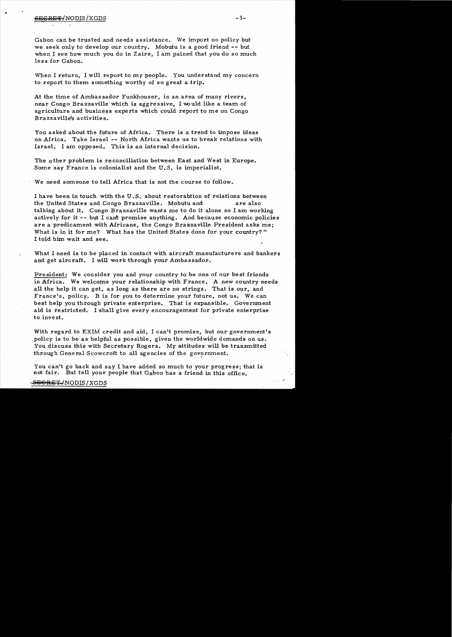•

Gabon can be trusted and needs assistance. We import no policy but we seek *only* to develop our country. Mobutu is a good friend -- but when I see how much *you* do in Zaire, I am pained that *you* do so much less for Gabon.

-When I return, I will report to my people. You understand my concern to report to them something worthy of so great a trip.

At the time of Ambassador Funkhouser, in an area of many rivers, near Congo Brazzaville which is aggressive. I would like a team of agriculture and business experts which could report to me on Congo Brazzaville's activities.

You asked about the future of Africa. There is a trend to impose ideas on Africa. Take Israel -- North Africa wants us to break relations with Israel. I am opposed. This is an internal decision.

The other problem is reconciliation between East and West in Europe. Some say France is colonialist and the U. S. is imperialist.

We need someone to tell Africa that is not the course to follow.

I have been in touch with the U. S. about restorabtion of relations between the United States and Congo Brazzaville. Mobutu and are also talking about it. Congo Brazzaville wants me to do it alone so I am working actively for it -- but I can't promise anything. And because economic policies are a predicament with Africans, the Congo Brazzaville President asks me; What is in it for me? What has the United States done for your country? " I told him wait and see.

What I need is to be placed in contact with aircraft manufacturers and bankers and get aircraft. I will work through your Ambassador.

President: We consider you and your country to be one of our best friends in Africa. We welcome your relationship with France. A new country needs all the help it can get, as long as there are no strings. That is our, and France's, policy. It is for you to determine your future, not us. We can best help you through private enterprise. That is expansible. Government aid is restricted. I shall give every encouragement for private enterprise to invest.

With regard to EXIM credit and aid, I can't promise, but our government's policy is to be as helpful as possible, given the worldwide demands on us. You discuss this with Secretary Rogers. *My* attitudes will be transmitted through General Scowcroft to all agencies of the government.

You can't go back and say I have added so much to your progress; that is not fair. But tell your people that Gabon has a friend in this office.

#### S<del>EGRET/</del>NODIS/XGDS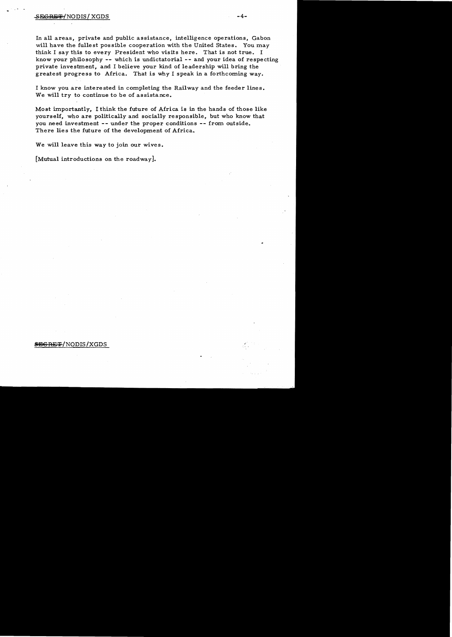## $-4-$

In all areas, private and public assistance, intelligence operations, Gabon will have the fullest possible cooperation with the United States. You may think I say this to every President who visits here. That is not true. I know your philosophy -- which is undictatorial -- and your idea of respecting private investment, and I believe your kind of leadership will bring the greatest progress to Africa. That is why I speak in a forthcoming way.

I know you are interested in completing the Railway and the feeder lines. We will try to continue to be of assistance.

Most importantly, I think the future of Africa is in the hands of those like yourself, who are politically and socially responsible, but who know that you need investment -- under the proper conditions -- from outside. There lies the future of the development of Africa.

We will leave this way to join our wives.

[Mutual introductions on the roadway].

# **SEGRET/NODIS/XGDS**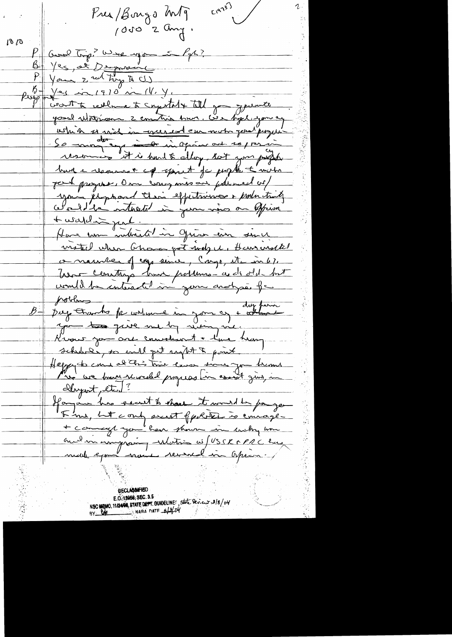$L^{(a^2)^2}$ Krea/Bonzo Mg 1000 2 any.  $\sigma$   $\sigma$ Good trip? What upon in 1 gh? Ves, at Depresie  $P$   $\sqrt{P}$   $\sqrt{P}$  $\rho_{\rm v}$   $\rho$  +  $\sqrt{24}$  in 1910 in 14. Y. wort to realment Expectator till gon your to good utition 2 contri hun. Cie byl you ay athin se said in greened eu mot gout proper burg e reconnant est april de profit à motre part progress, Over comparison palmed or your éliphand their effectivise en production <u>Ausardin part.</u> Have une indicate in grun ein since matul when Chance got mely it, Hansusatel commenter of eggs since, Cargo, etc in 6%. Une constage huit portune a de old but comment de interested in your anotypé of pobles<br>pay tranhe for water in your of + where duy perm you too guve me by viving me, Krows you are convolent + l'une heary schubel, so will get regist & point. clayent, etc)? Hayan has secut to share it would be payer Fine, Let cont sunt ppolitie is courage-+ comment you have thousand in early home oud un improving induction as / USSR & PRC has **DECLABOMED** 

E.O.12058, SEC. 3.5 NSC MEMO, 11/24/06, STATE DEPT. GUNDELINE: State Dev.e.r 3/8/04 NARA DATE  $4204$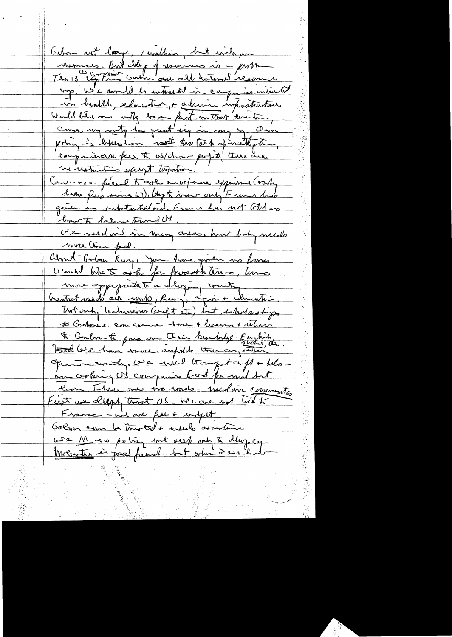<u>Crebon not large, mulhim, but when in</u> Mannees. But clap of usinisce is a problem enp. We correlate intrested in carpenies intrusted in health, education, + admire impostantins. Would bird and writing because front in that developing Conge my writing has quest sey in my my Own poing is blunchon - we to me forcetting to comparison fer t us/drown profits there are me restrictions part topotion! Conce avon fiere toget au votrere experience (varty brown personne 67). Ougts homer only Framer had given in substantial onl. Frame has not told no brown to behome towned US US veld on't in many ander him but mede more than pool. about Godon Ruy, Jon have given no basse.<br>Unurd like to ask for forward terms, turns mon appropriate t'a dérying enuite, Work only Technicians (acft ste) but Asholarships 10 Guilonice com come home + lecount utin to Conbor to pas an Their brouderlye-Emploint Trad leve han more ampide tour any other Operation commity, we will trongent apt + felo au orking US compariso fort for mil but Run, Thise are tro words - medan community First we cleaps tront OS. We are not lied to France - wil are fut + infut Golom can be trusted + would assistance we M we point but seek out to day cy. <u>Moborthe es jord franch - but when I ser had-</u>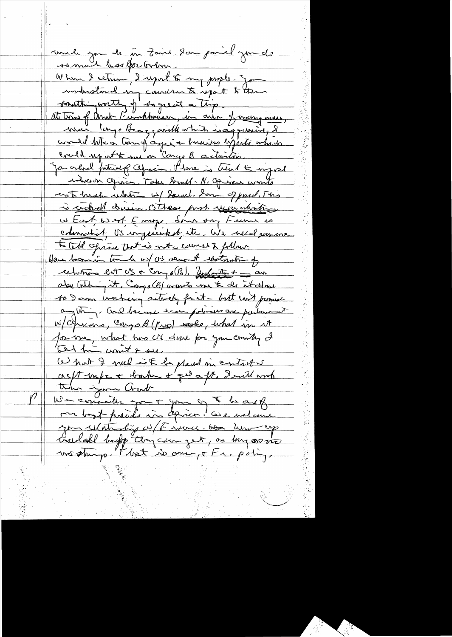unde jou le me Zaid 2 au pariel jou de As mont bas for Gobon. When I return I upot to my people. Jo industment in conner to inpart to them southing worth of degreest a trip<br>at town of And Funkhouses, in our I warry more would like a transf again there is expected which could up at the me on Cango B activities. Ja orderel futurel cofrain. Phone is treat & myrel Mobilion aprice, Take Grall-N. Opinion wonto cent break whether wil Sorrel. Som of pard, This is concluelle decein. Others prob year what <u>w East, wast, Emage Sonn son France es</u> colonnatort, US ingesichst, ite, We wild sommer to cold opique that is not counsely follow. Have been in tomate un US verant restaurant of celotion but US + Cong of (B), Zustantin + = an aby Containing it. Congo (B) ordered me to do it down to I am working artwelly fait - but want promed anything, and become econ potress are puctured W/Opicars, Congo B (Puro) sesses, what in it for tre, what has M done for you country I What I well is to placed in contact w coc/t infr + lomber & que a ft. I will and this join and We consider your your of the one of me bost procede in spice. Cese melane you waterfing of the news of the her op Creedal boff temperne pet, os muses in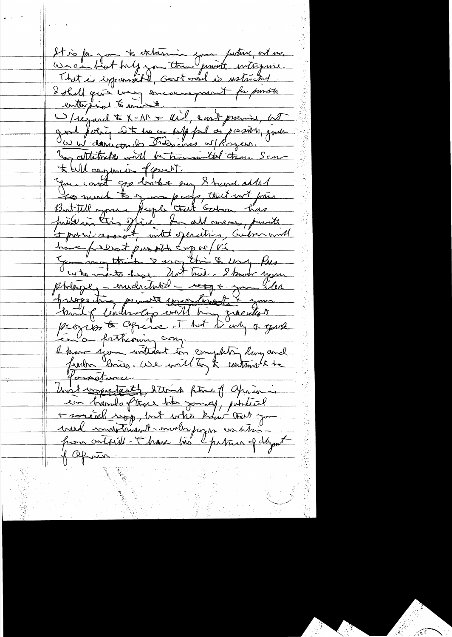It is for you to determine your future, with me. That is expannably, Genet and is wateriand I shall gave were encouragement for proviste D/regard \$ X-111 + aid, east premier, at gard fuerir sit les consuls par de passion, quelle To attitude will be transmitted than Score to tell ce procés fassent. You can't go looks my 8 band added To much to your proof, that wit pair privain très spire tre allemens, printe have falled prosthe corp vo/vé. photoge, - envelocitation - regg + your lilen hispetine prince contract + your progress to Office . That is any of your En la forthcours comp I know your witherent in complete, lawy and franche bonner. We wait top the contains to be gonstance. Unet voyestenth, Steink filme of aprison en barrolo ftere bos joint potition + soriel rop, but who know that you vied immeterant-mode pour vachter of Cefforth